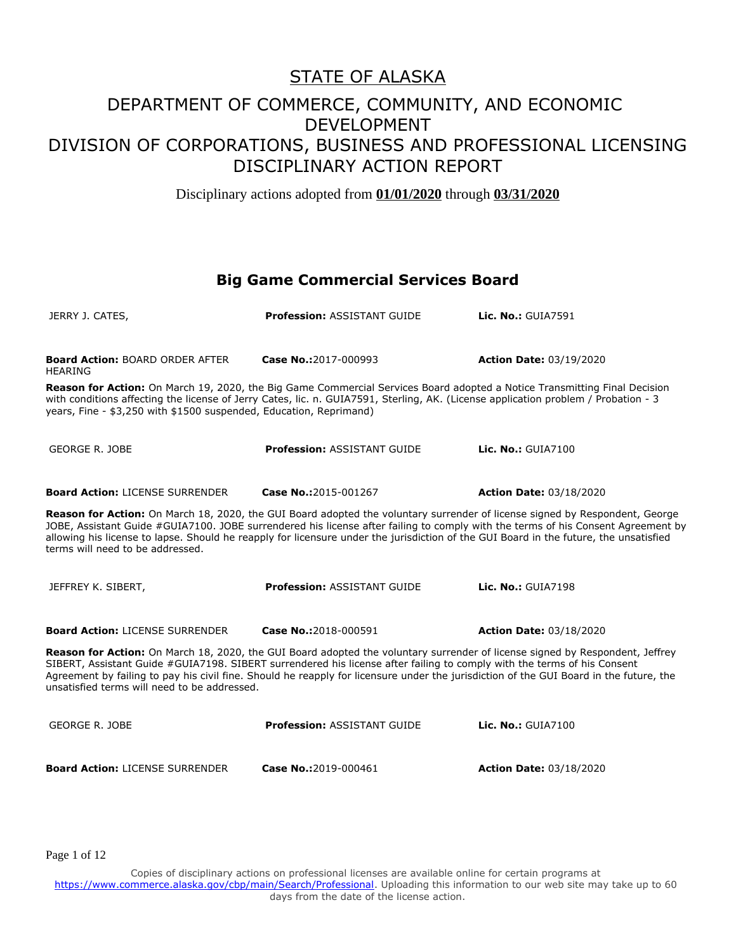Disciplinary actions adopted from **01/01/2020** through **03/31/2020**

#### **Big Game Commercial Services Board**

| JERRY J. CATES,                                                                                                                                                                                                                                                                                                                                                                                                                                   | <b>Profession: ASSISTANT GUIDE</b> | Lic. No.: GUIA7591             |  |
|---------------------------------------------------------------------------------------------------------------------------------------------------------------------------------------------------------------------------------------------------------------------------------------------------------------------------------------------------------------------------------------------------------------------------------------------------|------------------------------------|--------------------------------|--|
| <b>Board Action: BOARD ORDER AFTER</b><br><b>HEARING</b>                                                                                                                                                                                                                                                                                                                                                                                          | Case No.:2017-000993               | <b>Action Date: 03/19/2020</b> |  |
| Reason for Action: On March 19, 2020, the Big Game Commercial Services Board adopted a Notice Transmitting Final Decision<br>with conditions affecting the license of Jerry Cates, lic. n. GUIA7591, Sterling, AK. (License application problem / Probation - 3<br>years, Fine - \$3,250 with \$1500 suspended, Education, Reprimand)                                                                                                             |                                    |                                |  |
| <b>GEORGE R. JOBE</b>                                                                                                                                                                                                                                                                                                                                                                                                                             | <b>Profession: ASSISTANT GUIDE</b> | <b>Lic. No.: GUIA7100</b>      |  |
| <b>Board Action: LICENSE SURRENDER</b>                                                                                                                                                                                                                                                                                                                                                                                                            | Case No.:2015-001267               | <b>Action Date: 03/18/2020</b> |  |
| Reason for Action: On March 18, 2020, the GUI Board adopted the voluntary surrender of license signed by Respondent, George<br>JOBE, Assistant Guide #GUIA7100. JOBE surrendered his license after failing to comply with the terms of his Consent Agreement by<br>allowing his license to lapse. Should he reapply for licensure under the jurisdiction of the GUI Board in the future, the unsatisfied<br>terms will need to be addressed.      |                                    |                                |  |
| JEFFREY K. SIBERT,                                                                                                                                                                                                                                                                                                                                                                                                                                | <b>Profession: ASSISTANT GUIDE</b> | Lic. No.: GUIA7198             |  |
| <b>Board Action: LICENSE SURRENDER</b>                                                                                                                                                                                                                                                                                                                                                                                                            | Case No.:2018-000591               | <b>Action Date: 03/18/2020</b> |  |
| Reason for Action: On March 18, 2020, the GUI Board adopted the voluntary surrender of license signed by Respondent, Jeffrey<br>SIBERT, Assistant Guide #GUIA7198. SIBERT surrendered his license after failing to comply with the terms of his Consent<br>Agreement by failing to pay his civil fine. Should he reapply for licensure under the jurisdiction of the GUI Board in the future, the<br>unsatisfied terms will need to be addressed. |                                    |                                |  |
| <b>GEORGE R. JOBE</b>                                                                                                                                                                                                                                                                                                                                                                                                                             | <b>Profession: ASSISTANT GUIDE</b> | Lic. No.: GUIA7100             |  |
| <b>Board Action: LICENSE SURRENDER</b>                                                                                                                                                                                                                                                                                                                                                                                                            | Case No.:2019-000461               | <b>Action Date: 03/18/2020</b> |  |

Page 1 of 12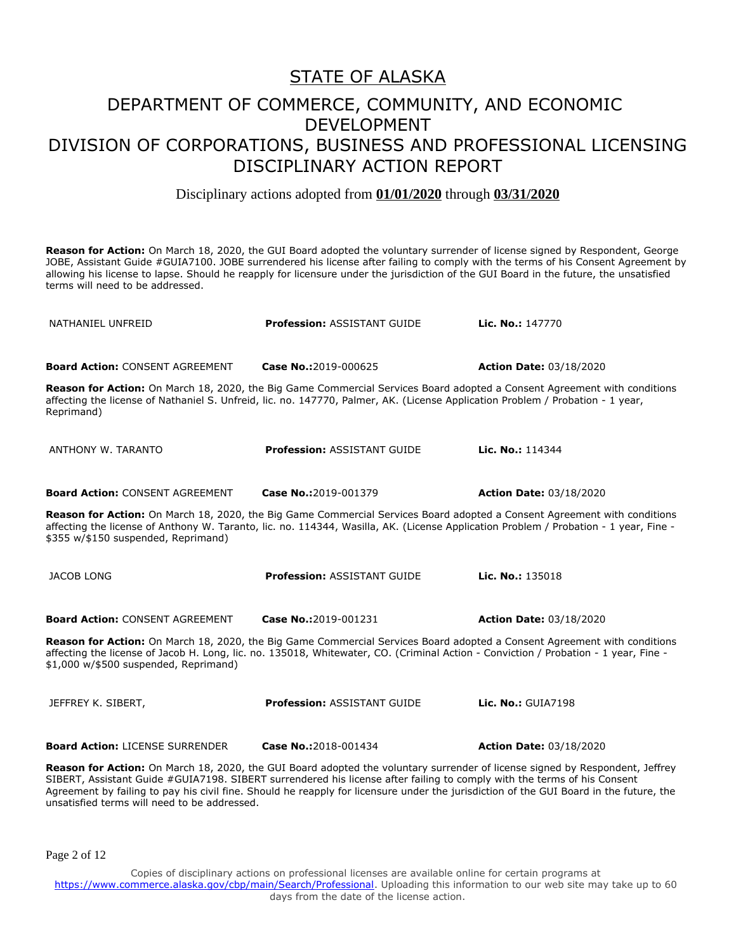Disciplinary actions adopted from **01/01/2020** through **03/31/2020**

**Reason for Action:** On March 18, 2020, the GUI Board adopted the voluntary surrender of license signed by Respondent, George JOBE, Assistant Guide #GUIA7100. JOBE surrendered his license after failing to comply with the terms of his Consent Agreement by allowing his license to lapse. Should he reapply for licensure under the jurisdiction of the GUI Board in the future, the unsatisfied terms will need to be addressed.

| NATHANIEL UNFREID                                                                                                                                                                                                                                                                                       | <b>Profession: ASSISTANT GUIDE</b>                                                                                                                                                                                                                              | Lic. No.: 147770               |  |
|---------------------------------------------------------------------------------------------------------------------------------------------------------------------------------------------------------------------------------------------------------------------------------------------------------|-----------------------------------------------------------------------------------------------------------------------------------------------------------------------------------------------------------------------------------------------------------------|--------------------------------|--|
| <b>Board Action: CONSENT AGREEMENT</b>                                                                                                                                                                                                                                                                  | Case No.:2019-000625                                                                                                                                                                                                                                            | <b>Action Date: 03/18/2020</b> |  |
| Reprimand)                                                                                                                                                                                                                                                                                              | Reason for Action: On March 18, 2020, the Big Game Commercial Services Board adopted a Consent Agreement with conditions<br>affecting the license of Nathaniel S. Unfreid, lic. no. 147770, Palmer, AK. (License Application Problem / Probation - 1 year,      |                                |  |
| ANTHONY W. TARANTO                                                                                                                                                                                                                                                                                      | <b>Profession: ASSISTANT GUIDE</b>                                                                                                                                                                                                                              | Lic. No.: 114344               |  |
| <b>Board Action: CONSENT AGREEMENT</b>                                                                                                                                                                                                                                                                  | Case No.:2019-001379                                                                                                                                                                                                                                            | <b>Action Date: 03/18/2020</b> |  |
| Reason for Action: On March 18, 2020, the Big Game Commercial Services Board adopted a Consent Agreement with conditions<br>affecting the license of Anthony W. Taranto, lic. no. 114344, Wasilla, AK. (License Application Problem / Probation - 1 year, Fine -<br>\$355 w/\$150 suspended, Reprimand) |                                                                                                                                                                                                                                                                 |                                |  |
| <b>JACOB LONG</b>                                                                                                                                                                                                                                                                                       | <b>Profession: ASSISTANT GUIDE</b>                                                                                                                                                                                                                              | Lic. No.: 135018               |  |
| <b>Board Action: CONSENT AGREEMENT</b>                                                                                                                                                                                                                                                                  | Case No.:2019-001231                                                                                                                                                                                                                                            | <b>Action Date: 03/18/2020</b> |  |
| \$1,000 w/\$500 suspended, Reprimand)                                                                                                                                                                                                                                                                   | Reason for Action: On March 18, 2020, the Big Game Commercial Services Board adopted a Consent Agreement with conditions<br>affecting the license of Jacob H. Long, lic. no. 135018, Whitewater, CO. (Criminal Action - Conviction / Probation - 1 year, Fine - |                                |  |
| JEFFREY K. SIBERT,                                                                                                                                                                                                                                                                                      | <b>Profession: ASSISTANT GUIDE</b>                                                                                                                                                                                                                              | <b>Lic. No.: GUIA7198</b>      |  |
| <b>Board Action: LICENSE SURRENDER</b>                                                                                                                                                                                                                                                                  | Case No.:2018-001434                                                                                                                                                                                                                                            | <b>Action Date: 03/18/2020</b> |  |
|                                                                                                                                                                                                                                                                                                         | Reason for Action: On March 18, 2020, the GUI Board adopted the voluntary surrender of license signed by Respondent, Jeffrey                                                                                                                                    |                                |  |

SIBERT, Assistant Guide #GUIA7198. SIBERT surrendered his license after failing to comply with the terms of his Consent Agreement by failing to pay his civil fine. Should he reapply for licensure under the jurisdiction of the GUI Board in the future, the unsatisfied terms will need to be addressed.

Page 2 of 12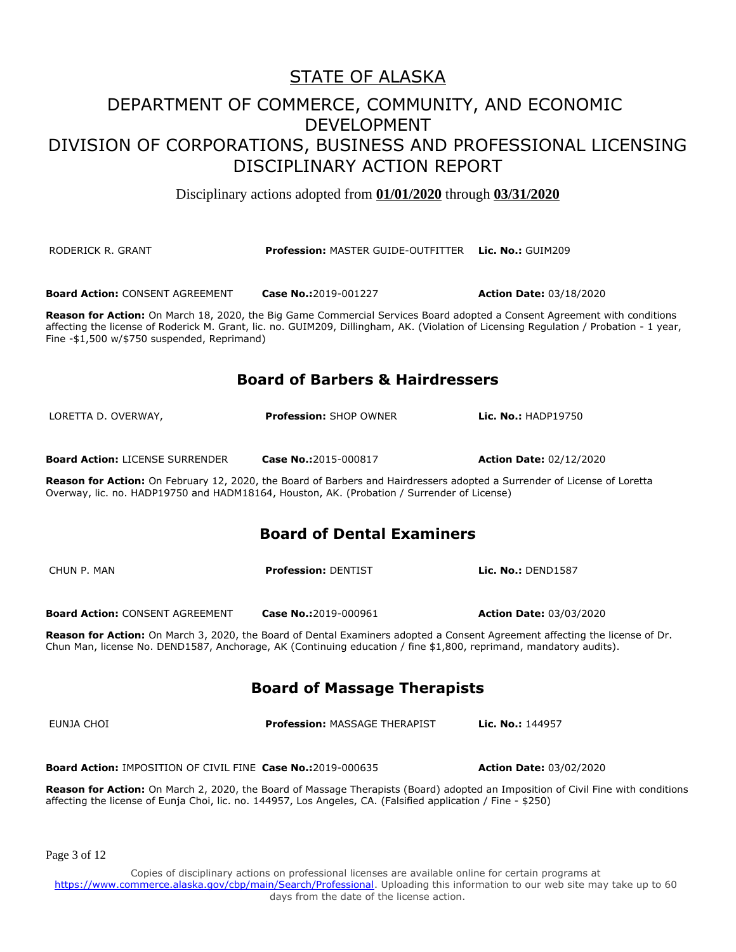### STATE OF ALASKA

### DEPARTMENT OF COMMERCE, COMMUNITY, AND ECONOMIC DEVELOPMENT DIVISION OF CORPORATIONS, BUSINESS AND PROFESSIONAL LICENSING DISCIPLINARY ACTION REPORT

Disciplinary actions adopted from **01/01/2020** through **03/31/2020**

| RODERICK R. GRANT                                                                                                                                                                                                                                 | <b>Profession: MASTER GUIDE-OUTFITTER Lic. No.: GUIM209</b>                                                                                                                                                                                                        |                                |  |
|---------------------------------------------------------------------------------------------------------------------------------------------------------------------------------------------------------------------------------------------------|--------------------------------------------------------------------------------------------------------------------------------------------------------------------------------------------------------------------------------------------------------------------|--------------------------------|--|
| <b>Board Action: CONSENT AGREEMENT</b>                                                                                                                                                                                                            | Case No.:2019-001227                                                                                                                                                                                                                                               | <b>Action Date: 03/18/2020</b> |  |
| Fine -\$1,500 w/\$750 suspended, Reprimand)                                                                                                                                                                                                       | Reason for Action: On March 18, 2020, the Big Game Commercial Services Board adopted a Consent Agreement with conditions<br>affecting the license of Roderick M. Grant, lic. no. GUIM209, Dillingham, AK. (Violation of Licensing Regulation / Probation - 1 year, |                                |  |
|                                                                                                                                                                                                                                                   | <b>Board of Barbers &amp; Hairdressers</b>                                                                                                                                                                                                                         |                                |  |
| LORETTA D. OVERWAY,                                                                                                                                                                                                                               | <b>Profession: SHOP OWNER</b>                                                                                                                                                                                                                                      | <b>Lic. No.: HADP19750</b>     |  |
| <b>Board Action: LICENSE SURRENDER</b>                                                                                                                                                                                                            | Case No.:2015-000817                                                                                                                                                                                                                                               | <b>Action Date: 02/12/2020</b> |  |
|                                                                                                                                                                                                                                                   | Reason for Action: On February 12, 2020, the Board of Barbers and Hairdressers adopted a Surrender of License of Loretta<br>Overway, lic. no. HADP19750 and HADM18164, Houston, AK. (Probation / Surrender of License)                                             |                                |  |
|                                                                                                                                                                                                                                                   | <b>Board of Dental Examiners</b>                                                                                                                                                                                                                                   |                                |  |
| CHUN P. MAN                                                                                                                                                                                                                                       | <b>Profession: DENTIST</b>                                                                                                                                                                                                                                         | Lic. No.: DEND1587             |  |
| <b>Board Action: CONSENT AGREEMENT</b>                                                                                                                                                                                                            | Case No.:2019-000961                                                                                                                                                                                                                                               | <b>Action Date: 03/03/2020</b> |  |
| Reason for Action: On March 3, 2020, the Board of Dental Examiners adopted a Consent Agreement affecting the license of Dr.<br>Chun Man, license No. DEND1587, Anchorage, AK (Continuing education / fine \$1,800, reprimand, mandatory audits).  |                                                                                                                                                                                                                                                                    |                                |  |
| <b>Board of Massage Therapists</b>                                                                                                                                                                                                                |                                                                                                                                                                                                                                                                    |                                |  |
| EUNJA CHOI                                                                                                                                                                                                                                        | <b>Profession: MASSAGE THERAPIST</b>                                                                                                                                                                                                                               | Lic. No.: 144957               |  |
| <b>Board Action: IMPOSITION OF CIVIL FINE Case No.:2019-000635</b>                                                                                                                                                                                |                                                                                                                                                                                                                                                                    | <b>Action Date: 03/02/2020</b> |  |
| Reason for Action: On March 2, 2020, the Board of Massage Therapists (Board) adopted an Imposition of Civil Fine with conditions<br>affecting the license of Eunja Choi, lic. no. 144957, Los Angeles, CA. (Falsified application / Fine - \$250) |                                                                                                                                                                                                                                                                    |                                |  |
|                                                                                                                                                                                                                                                   |                                                                                                                                                                                                                                                                    |                                |  |
|                                                                                                                                                                                                                                                   |                                                                                                                                                                                                                                                                    |                                |  |

Page 3 of 12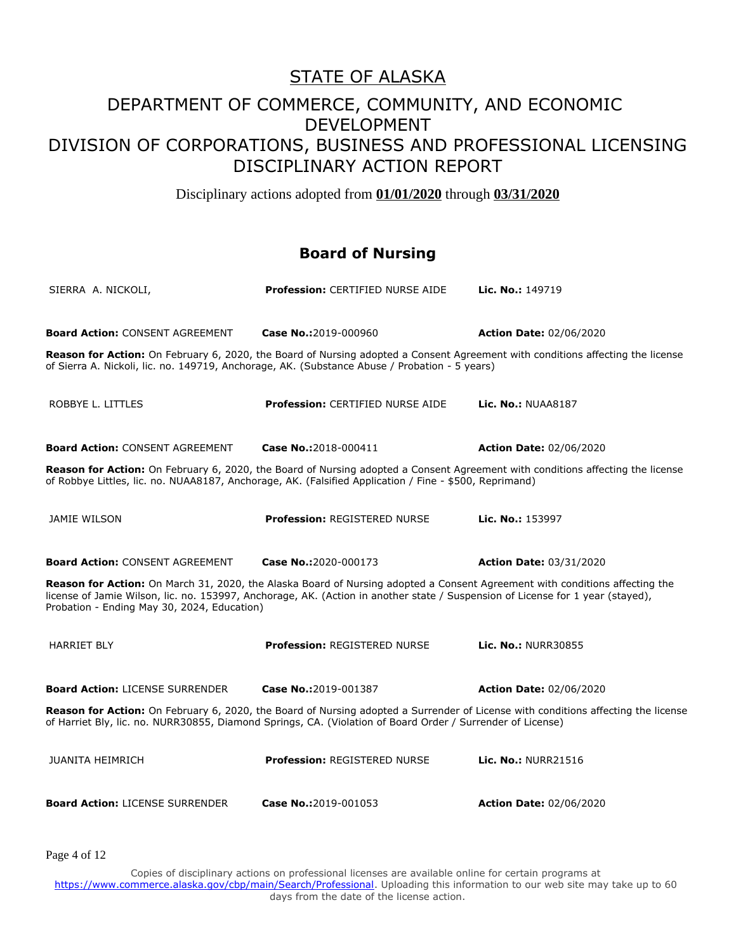Disciplinary actions adopted from **01/01/2020** through **03/31/2020**

#### **Board of Nursing**

| SIERRA A. NICKOLI,                                                                                                                                                                                                                                                                                           | <b>Profession: CERTIFIED NURSE AIDE</b> | <b>Lic. No.: 149719</b>        |  |
|--------------------------------------------------------------------------------------------------------------------------------------------------------------------------------------------------------------------------------------------------------------------------------------------------------------|-----------------------------------------|--------------------------------|--|
| <b>Board Action: CONSENT AGREEMENT</b><br>Reason for Action: On February 6, 2020, the Board of Nursing adopted a Consent Agreement with conditions affecting the license                                                                                                                                     | Case No.:2019-000960                    | <b>Action Date: 02/06/2020</b> |  |
| of Sierra A. Nickoli, lic. no. 149719, Anchorage, AK. (Substance Abuse / Probation - 5 years)                                                                                                                                                                                                                |                                         |                                |  |
| ROBBYE L. LITTLES                                                                                                                                                                                                                                                                                            | <b>Profession: CERTIFIED NURSE AIDE</b> | <b>Lic. No.: NUAA8187</b>      |  |
| <b>Board Action: CONSENT AGREEMENT</b>                                                                                                                                                                                                                                                                       | Case No.:2018-000411                    | <b>Action Date: 02/06/2020</b> |  |
| Reason for Action: On February 6, 2020, the Board of Nursing adopted a Consent Agreement with conditions affecting the license<br>of Robbye Littles, lic. no. NUAA8187, Anchorage, AK. (Falsified Application / Fine - \$500, Reprimand)                                                                     |                                         |                                |  |
| JAMIE WILSON                                                                                                                                                                                                                                                                                                 | <b>Profession: REGISTERED NURSE</b>     | <b>Lic. No.: 153997</b>        |  |
| <b>Board Action: CONSENT AGREEMENT</b>                                                                                                                                                                                                                                                                       | Case No.:2020-000173                    | <b>Action Date: 03/31/2020</b> |  |
| Reason for Action: On March 31, 2020, the Alaska Board of Nursing adopted a Consent Agreement with conditions affecting the<br>license of Jamie Wilson, lic. no. 153997, Anchorage, AK. (Action in another state / Suspension of License for 1 year (stayed),<br>Probation - Ending May 30, 2024, Education) |                                         |                                |  |
| <b>HARRIET BLY</b>                                                                                                                                                                                                                                                                                           | <b>Profession: REGISTERED NURSE</b>     | Lic. No.: NURR30855            |  |
| <b>Board Action: LICENSE SURRENDER</b>                                                                                                                                                                                                                                                                       | Case No.:2019-001387                    | <b>Action Date: 02/06/2020</b> |  |
| Reason for Action: On February 6, 2020, the Board of Nursing adopted a Surrender of License with conditions affecting the license<br>of Harriet Bly, lic. no. NURR30855, Diamond Springs, CA. (Violation of Board Order / Surrender of License)                                                              |                                         |                                |  |
| <b>JUANITA HEIMRICH</b>                                                                                                                                                                                                                                                                                      | <b>Profession: REGISTERED NURSE</b>     | <b>Lic. No.: NURR21516</b>     |  |
| <b>Board Action: LICENSE SURRENDER</b>                                                                                                                                                                                                                                                                       | Case No.:2019-001053                    | <b>Action Date: 02/06/2020</b> |  |

Page 4 of 12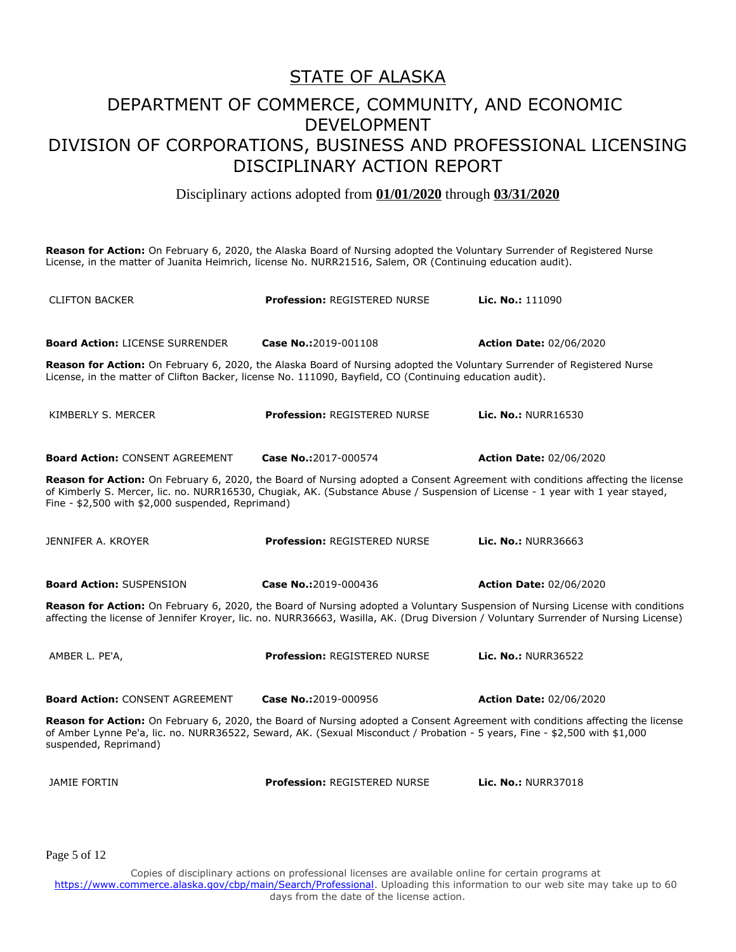### STATE OF ALASKA

### DEPARTMENT OF COMMERCE, COMMUNITY, AND ECONOMIC DEVELOPMENT DIVISION OF CORPORATIONS, BUSINESS AND PROFESSIONAL LICENSING DISCIPLINARY ACTION REPORT

Disciplinary actions adopted from **01/01/2020** through **03/31/2020**

**Reason for Action:** On February 6, 2020, the Alaska Board of Nursing adopted the Voluntary Surrender of Registered Nurse License, in the matter of Juanita Heimrich, license No. NURR21516, Salem, OR (Continuing education audit).

CLIFTON BACKER **Profession:** REGISTERED NURSE **Lic. No.:** 111090 **Board Action:** LICENSE SURRENDER **Case No.:**2019-001108 **Action Date:** 02/06/2020 **Reason for Action:** On February 6, 2020, the Alaska Board of Nursing adopted the Voluntary Surrender of Registered Nurse License, in the matter of Clifton Backer, license No. 111090, Bayfield, CO (Continuing education audit). KIMBERLY S. MERCER **Profession:** REGISTERED NURSE **Lic. No.:** NURR16530 **Board Action:** CONSENT AGREEMENT **Case No.:**2017-000574 **Action Date:** 02/06/2020 **Reason for Action:** On February 6, 2020, the Board of Nursing adopted a Consent Agreement with conditions affecting the license of Kimberly S. Mercer, lic. no. NURR16530, Chugiak, AK. (Substance Abuse / Suspension of License - 1 year with 1 year stayed, Fine - \$2,500 with \$2,000 suspended, Reprimand) JENNIFER A. KROYER **Profession:** REGISTERED NURSE **Lic. No.:** NURR36663 **Board Action:** SUSPENSION **Case No.:**2019-000436 **Action Date:** 02/06/2020 **Reason for Action:** On February 6, 2020, the Board of Nursing adopted a Voluntary Suspension of Nursing License with conditions affecting the license of Jennifer Kroyer, lic. no. NURR36663, Wasilla, AK. (Drug Diversion / Voluntary Surrender of Nursing License) AMBER L. PE'A, **Profession:** REGISTERED NURSE **Lic. No.:** NURR36522 **Board Action:** CONSENT AGREEMENT **Case No.:**2019-000956 **Action Date:** 02/06/2020 **Reason for Action:** On February 6, 2020, the Board of Nursing adopted a Consent Agreement with conditions affecting the license of Amber Lynne Pe'a, lic. no. NURR36522, Seward, AK. (Sexual Misconduct / Probation - 5 years, Fine - \$2,500 with \$1,000 suspended, Reprimand) JAMIE FORTIN **Profession:** REGISTERED NURSE **Lic. No.:** NURR37018

Page 5 of 12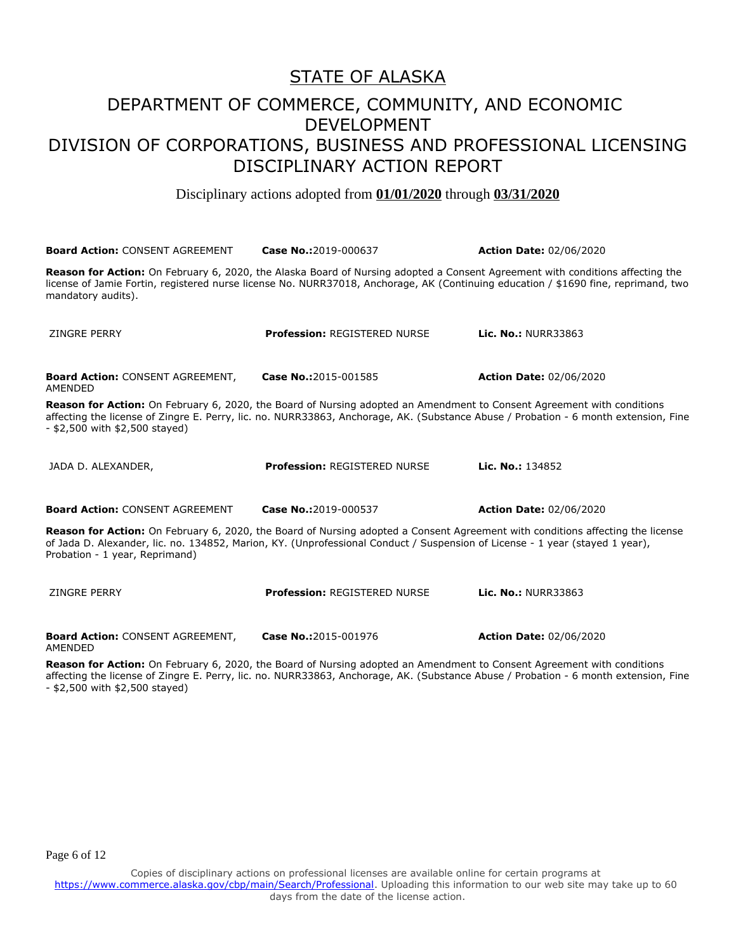#### STATE OF ALASKA

### DEPARTMENT OF COMMERCE, COMMUNITY, AND ECONOMIC DEVELOPMENT DIVISION OF CORPORATIONS, BUSINESS AND PROFESSIONAL LICENSING DISCIPLINARY ACTION REPORT

Disciplinary actions adopted from **01/01/2020** through **03/31/2020**

**Board Action:** CONSENT AGREEMENT **Case No.:**2019-000637 **Action Date:** 02/06/2020 **Reason for Action:** On February 6, 2020, the Alaska Board of Nursing adopted a Consent Agreement with conditions affecting the license of Jamie Fortin, registered nurse license No. NURR37018, Anchorage, AK (Continuing education / \$1690 fine, reprimand, two mandatory audits). ZINGRE PERRY **Profession:** REGISTERED NURSE **Lic. No.:** NURR33863 **Board Action:** CONSENT AGREEMENT, AMENDED **Case No.:**2015-001585 **Action Date:** 02/06/2020 **Reason for Action:** On February 6, 2020, the Board of Nursing adopted an Amendment to Consent Agreement with conditions affecting the license of Zingre E. Perry, lic. no. NURR33863, Anchorage, AK. (Substance Abuse / Probation - 6 month extension, Fine - \$2,500 with \$2,500 stayed) JADA D. ALEXANDER, **Profession:** REGISTERED NURSE **Lic. No.:** 134852 **Board Action:** CONSENT AGREEMENT **Case No.:**2019-000537 **Action Date:** 02/06/2020 **Reason for Action:** On February 6, 2020, the Board of Nursing adopted a Consent Agreement with conditions affecting the license of Jada D. Alexander, lic. no. 134852, Marion, KY. (Unprofessional Conduct / Suspension of License - 1 year (stayed 1 year), Probation - 1 year, Reprimand) ZINGRE PERRY **Profession:** REGISTERED NURSE **Lic. No.:** NURR33863 **Board Action:** CONSENT AGREEMENT, **Case No.:**2015-001976 **Action Date:** 02/06/2020

**Reason for Action:** On February 6, 2020, the Board of Nursing adopted an Amendment to Consent Agreement with conditions affecting the license of Zingre E. Perry, lic. no. NURR33863, Anchorage, AK. (Substance Abuse / Probation - 6 month extension, Fine - \$2,500 with \$2,500 stayed)

Page 6 of 12

AMENDED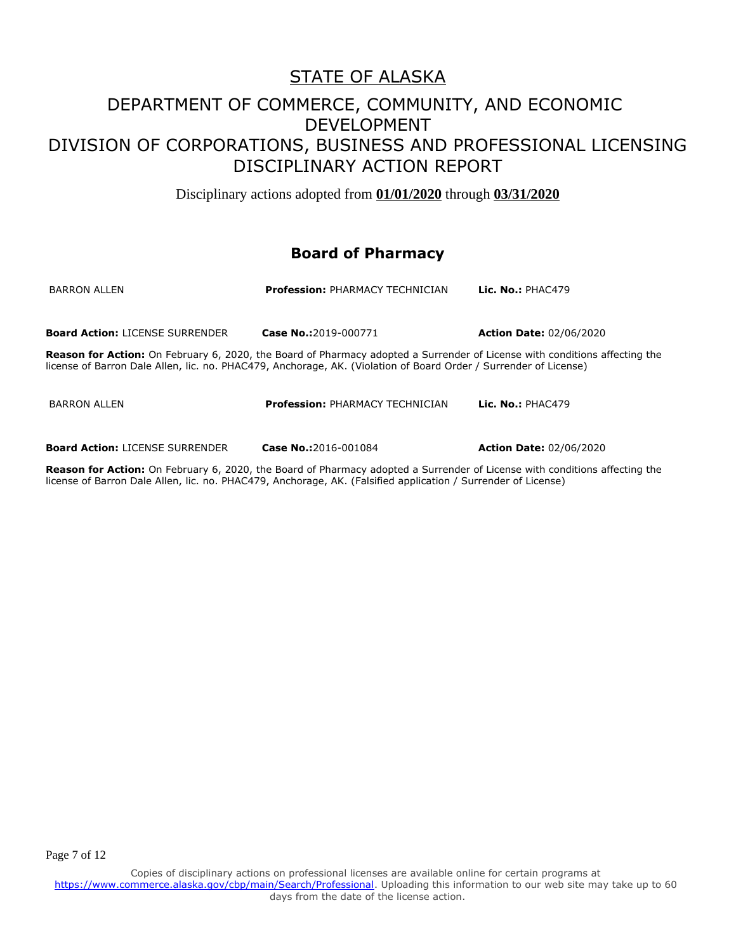Disciplinary actions adopted from **01/01/2020** through **03/31/2020**

### **Board of Pharmacy**

| <b>BARRON ALLEN</b>                    | <b>Profession: PHARMACY TECHNICIAN</b>                                                                                                                                                                                                         | Lic. No.: $PHAC479$            |
|----------------------------------------|------------------------------------------------------------------------------------------------------------------------------------------------------------------------------------------------------------------------------------------------|--------------------------------|
| <b>Board Action: LICENSE SURRENDER</b> | Case No.: 2019-000771                                                                                                                                                                                                                          | <b>Action Date: 02/06/2020</b> |
|                                        | Reason for Action: On February 6, 2020, the Board of Pharmacy adopted a Surrender of License with conditions affecting the<br>license of Barron Dale Allen, lic. no. PHAC479, Anchorage, AK. (Violation of Board Order / Surrender of License) |                                |
| <b>BARRON ALLEN</b>                    | <b>Profession: PHARMACY TECHNICIAN</b>                                                                                                                                                                                                         | Lic. $No.: PHAC479$            |
| <b>Board Action: LICENSE SURRENDER</b> | Case No.:2016-001084                                                                                                                                                                                                                           | <b>Action Date: 02/06/2020</b> |

**Reason for Action:** On February 6, 2020, the Board of Pharmacy adopted a Surrender of License with conditions affecting the license of Barron Dale Allen, lic. no. PHAC479, Anchorage, AK. (Falsified application / Surrender of License)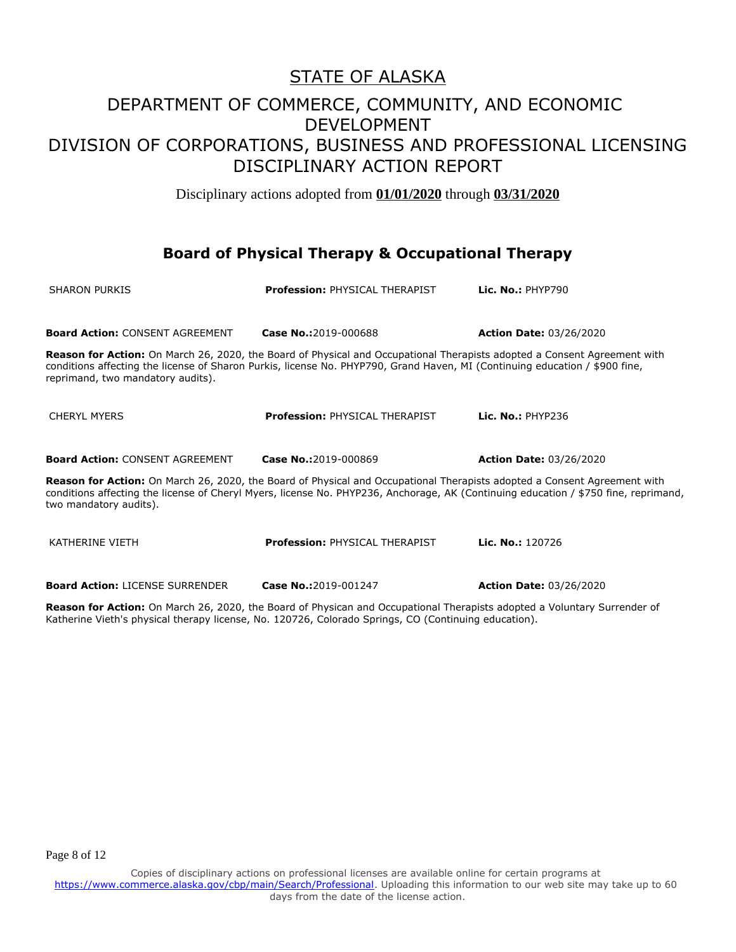Disciplinary actions adopted from **01/01/2020** through **03/31/2020**

### **Board of Physical Therapy & Occupational Therapy**

| <b>SHARON PURKIS</b>                                                                                                                                                                                                                                                                         | <b>Profession: PHYSICAL THERAPIST</b> | <b>Lic. No.: PHYP790</b>       |  |
|----------------------------------------------------------------------------------------------------------------------------------------------------------------------------------------------------------------------------------------------------------------------------------------------|---------------------------------------|--------------------------------|--|
| <b>Board Action: CONSENT AGREEMENT</b>                                                                                                                                                                                                                                                       | Case No.:2019-000688                  | <b>Action Date: 03/26/2020</b> |  |
| Reason for Action: On March 26, 2020, the Board of Physical and Occupational Therapists adopted a Consent Agreement with<br>conditions affecting the license of Sharon Purkis, license No. PHYP790, Grand Haven, MI (Continuing education / \$900 fine,<br>reprimand, two mandatory audits). |                                       |                                |  |
| <b>CHERYL MYERS</b>                                                                                                                                                                                                                                                                          | <b>Profession: PHYSICAL THERAPIST</b> | Lic. $No.:$ PHYP236            |  |
| <b>Board Action: CONSENT AGREEMENT</b>                                                                                                                                                                                                                                                       | Case No.:2019-000869                  | <b>Action Date: 03/26/2020</b> |  |
| Reason for Action: On March 26, 2020, the Board of Physical and Occupational Therapists adopted a Consent Agreement with<br>conditions affecting the license of Cheryl Myers, license No. PHYP236, Anchorage, AK (Continuing education / \$750 fine, reprimand,<br>two mandatory audits).    |                                       |                                |  |
| <b>KATHERINE VIETH</b>                                                                                                                                                                                                                                                                       | <b>Profession: PHYSICAL THERAPIST</b> | Lic. No.: 120726               |  |
| <b>Board Action: LICENSE SURRENDER</b>                                                                                                                                                                                                                                                       | Case No.:2019-001247                  | <b>Action Date: 03/26/2020</b> |  |

**Reason for Action:** On March 26, 2020, the Board of Physican and Occupational Therapists adopted a Voluntary Surrender of Katherine Vieth's physical therapy license, No. 120726, Colorado Springs, CO (Continuing education).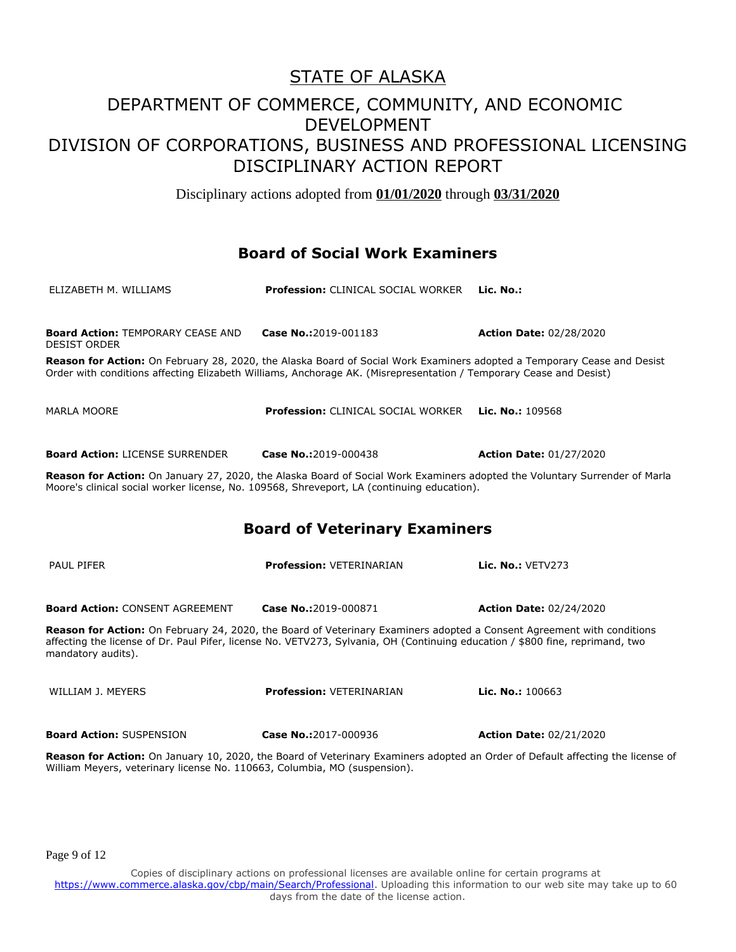Disciplinary actions adopted from **01/01/2020** through **03/31/2020**

#### **Board of Social Work Examiners**

| ELIZABETH M. WILLIAMS                                                                                                                                                                                                                                                         | <b>Profession: CLINICAL SOCIAL WORKER</b> | Lic. No.:                      |
|-------------------------------------------------------------------------------------------------------------------------------------------------------------------------------------------------------------------------------------------------------------------------------|-------------------------------------------|--------------------------------|
| <b>Board Action: TEMPORARY CEASE AND</b><br><b>DESIST ORDER</b>                                                                                                                                                                                                               | Case No.:2019-001183                      | <b>Action Date: 02/28/2020</b> |
| Reason for Action: On February 28, 2020, the Alaska Board of Social Work Examiners adopted a Temporary Cease and Desist<br>Order with conditions affecting Elizabeth Williams, Anchorage AK. (Misrepresentation / Temporary Cease and Desist)                                 |                                           |                                |
| <b>MARLA MOORE</b>                                                                                                                                                                                                                                                            | <b>Profession: CLINICAL SOCIAL WORKER</b> | Lic. No.: 109568               |
| <b>Board Action: LICENSE SURRENDER</b>                                                                                                                                                                                                                                        | Case No.:2019-000438                      | <b>Action Date: 01/27/2020</b> |
| Reason for Action: On January 27, 2020, the Alaska Board of Social Work Examiners adopted the Voluntary Surrender of Marla<br>Moore's clinical social worker license, No. 109568, Shreveport, LA (continuing education).                                                      |                                           |                                |
|                                                                                                                                                                                                                                                                               | <b>Board of Veterinary Examiners</b>      |                                |
| <b>PAUL PIFER</b>                                                                                                                                                                                                                                                             | <b>Profession: VETERINARIAN</b>           | <b>Lic. No.: VETV273</b>       |
| <b>Board Action: CONSENT AGREEMENT</b>                                                                                                                                                                                                                                        | Case No.:2019-000871                      | <b>Action Date: 02/24/2020</b> |
| Reason for Action: On February 24, 2020, the Board of Veterinary Examiners adopted a Consent Agreement with conditions<br>affecting the license of Dr. Paul Pifer, license No. VETV273, Sylvania, OH (Continuing education / \$800 fine, reprimand, two<br>mandatory audits). |                                           |                                |
| WILLIAM J. MEYERS                                                                                                                                                                                                                                                             | <b>Profession: VETERINARIAN</b>           | Lic. No.: $100663$             |
| <b>Board Action: SUSPENSION</b>                                                                                                                                                                                                                                               | Case No.:2017-000936                      | <b>Action Date: 02/21/2020</b> |
| Reason for Action: On January 10, 2020, the Board of Veterinary Examiners adopted an Order of Default affecting the license of<br>William Meyers, veterinary license No. 110663, Columbia, MO (suspension).                                                                   |                                           |                                |

Page 9 of 12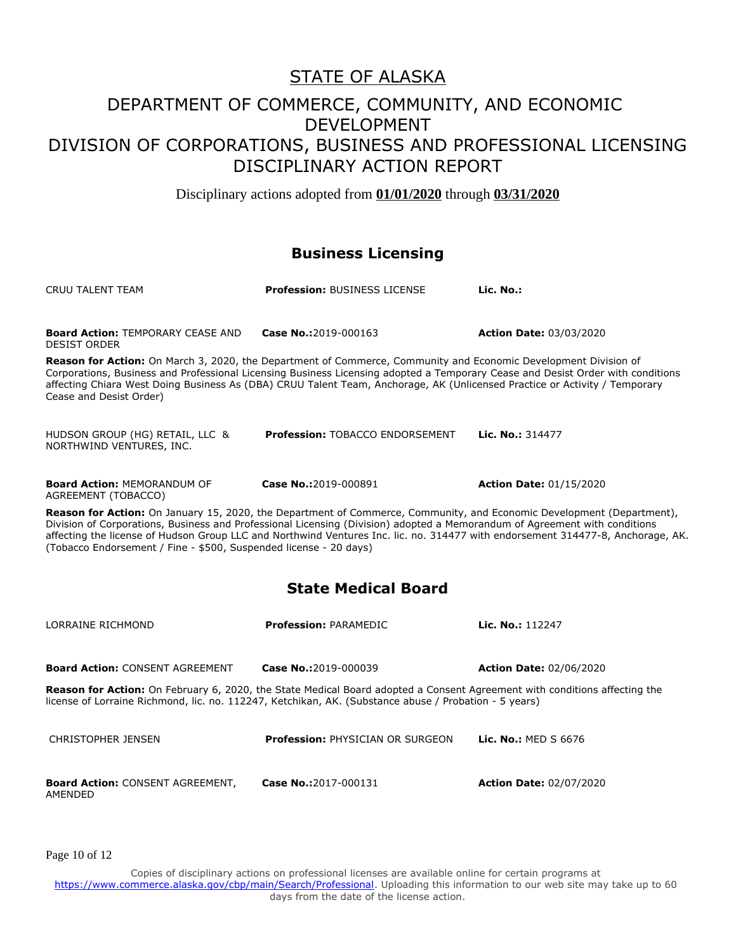Disciplinary actions adopted from **01/01/2020** through **03/31/2020**

#### **Business Licensing**

| <b>Profession: BUSINESS LICENSE</b>                                                                                                                                                                                                                                                                                                                                                                                                                         | Lic. No.:                      |  |  |
|-------------------------------------------------------------------------------------------------------------------------------------------------------------------------------------------------------------------------------------------------------------------------------------------------------------------------------------------------------------------------------------------------------------------------------------------------------------|--------------------------------|--|--|
| Case No.:2019-000163                                                                                                                                                                                                                                                                                                                                                                                                                                        | <b>Action Date: 03/03/2020</b> |  |  |
| Reason for Action: On March 3, 2020, the Department of Commerce, Community and Economic Development Division of<br>Corporations, Business and Professional Licensing Business Licensing adopted a Temporary Cease and Desist Order with conditions<br>affecting Chiara West Doing Business As (DBA) CRUU Talent Team, Anchorage, AK (Unlicensed Practice or Activity / Temporary<br>Cease and Desist Order)                                                 |                                |  |  |
| <b>Profession: TOBACCO ENDORSEMENT</b>                                                                                                                                                                                                                                                                                                                                                                                                                      | Lic. No.: 314477               |  |  |
| Case No.:2019-000891                                                                                                                                                                                                                                                                                                                                                                                                                                        | <b>Action Date: 01/15/2020</b> |  |  |
| Reason for Action: On January 15, 2020, the Department of Commerce, Community, and Economic Development (Department),<br>Division of Corporations, Business and Professional Licensing (Division) adopted a Memorandum of Agreement with conditions<br>affecting the license of Hudson Group LLC and Northwind Ventures Inc. lic. no. 314477 with endorsement 314477-8, Anchorage, AK.<br>(Tobacco Endorsement / Fine - \$500, Suspended license - 20 days) |                                |  |  |
|                                                                                                                                                                                                                                                                                                                                                                                                                                                             |                                |  |  |

#### **State Medical Board**

| LORRAINE RICHMOND                                  | <b>Profession: PARAMEDIC</b>                                                                                                                                                                                                       | Lic. No.: 112247               |
|----------------------------------------------------|------------------------------------------------------------------------------------------------------------------------------------------------------------------------------------------------------------------------------------|--------------------------------|
| <b>Board Action: CONSENT AGREEMENT</b>             | Case No.: 2019-000039                                                                                                                                                                                                              | <b>Action Date: 02/06/2020</b> |
|                                                    | Reason for Action: On February 6, 2020, the State Medical Board adopted a Consent Agreement with conditions affecting the<br>license of Lorraine Richmond, lic. no. 112247, Ketchikan, AK. (Substance abuse / Probation - 5 years) |                                |
| CHRISTOPHER JENSEN                                 | <b>Profession: PHYSICIAN OR SURGEON</b>                                                                                                                                                                                            | Lic. No.: MED S 6676           |
| <b>Board Action: CONSENT AGREEMENT,</b><br>AMENDED | Case No.:2017-000131                                                                                                                                                                                                               | <b>Action Date: 02/07/2020</b> |

Page 10 of 12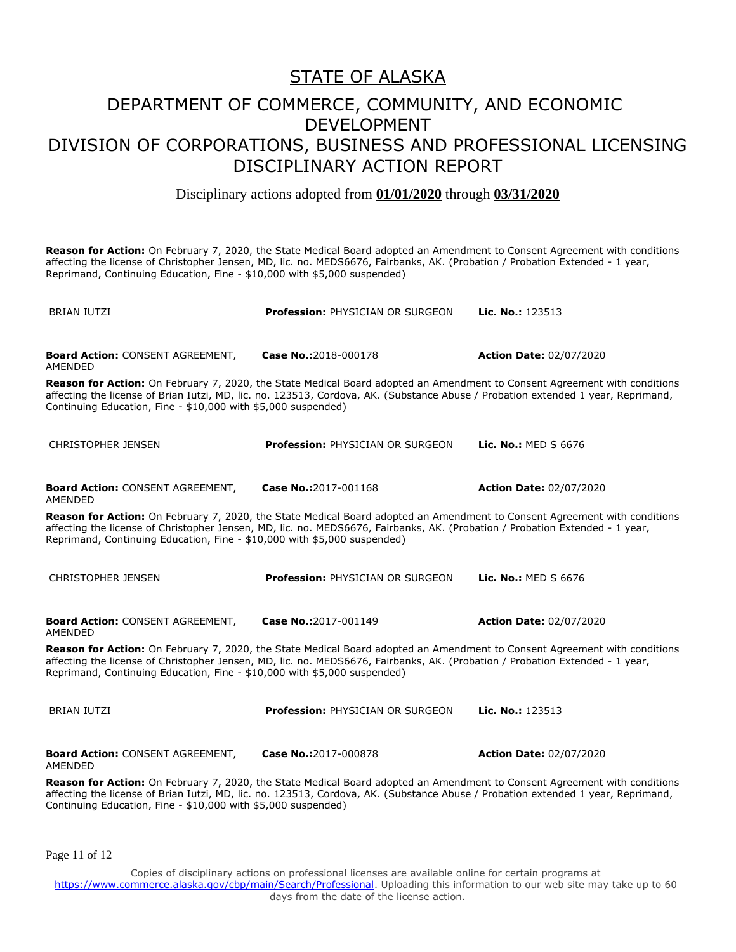Disciplinary actions adopted from **01/01/2020** through **03/31/2020**

**Reason for Action:** On February 7, 2020, the State Medical Board adopted an Amendment to Consent Agreement with conditions affecting the license of Christopher Jensen, MD, lic. no. MEDS6676, Fairbanks, AK. (Probation / Probation Extended - 1 year, Reprimand, Continuing Education, Fine - \$10,000 with \$5,000 suspended)

| <b>BRIAN IUTZI</b>                                                                                                                                                                                                                                                                                                                    | <b>Profession: PHYSICIAN OR SURGEON</b> | Lic. No.: 123513               |  |
|---------------------------------------------------------------------------------------------------------------------------------------------------------------------------------------------------------------------------------------------------------------------------------------------------------------------------------------|-----------------------------------------|--------------------------------|--|
| <b>Board Action: CONSENT AGREEMENT,</b><br>AMENDED                                                                                                                                                                                                                                                                                    | Case No.:2018-000178                    | <b>Action Date: 02/07/2020</b> |  |
| Reason for Action: On February 7, 2020, the State Medical Board adopted an Amendment to Consent Agreement with conditions<br>affecting the license of Brian Iutzi, MD, lic. no. 123513, Cordova, AK. (Substance Abuse / Probation extended 1 year, Reprimand,<br>Continuing Education, Fine - \$10,000 with \$5,000 suspended)        |                                         |                                |  |
| <b>CHRISTOPHER JENSEN</b>                                                                                                                                                                                                                                                                                                             | <b>Profession: PHYSICIAN OR SURGEON</b> | Lic. No.: MED S 6676           |  |
| <b>Board Action: CONSENT AGREEMENT,</b><br>AMENDED                                                                                                                                                                                                                                                                                    | Case No.:2017-001168                    | <b>Action Date: 02/07/2020</b> |  |
| Reason for Action: On February 7, 2020, the State Medical Board adopted an Amendment to Consent Agreement with conditions<br>affecting the license of Christopher Jensen, MD, lic. no. MEDS6676, Fairbanks, AK. (Probation / Probation Extended - 1 year,<br>Reprimand, Continuing Education, Fine - \$10,000 with \$5,000 suspended) |                                         |                                |  |
| <b>CHRISTOPHER JENSEN</b>                                                                                                                                                                                                                                                                                                             | <b>Profession: PHYSICIAN OR SURGEON</b> | <b>Lic. No.: MED S 6676</b>    |  |
| <b>Board Action: CONSENT AGREEMENT,</b><br><b>AMENDED</b>                                                                                                                                                                                                                                                                             | Case No.:2017-001149                    | <b>Action Date: 02/07/2020</b> |  |
| Reason for Action: On February 7, 2020, the State Medical Board adopted an Amendment to Consent Agreement with conditions<br>affecting the license of Christopher Jensen, MD, lic. no. MEDS6676, Fairbanks, AK. (Probation / Probation Extended - 1 year,<br>Reprimand, Continuing Education, Fine - \$10,000 with \$5,000 suspended) |                                         |                                |  |
| <b>BRIAN IUTZI</b>                                                                                                                                                                                                                                                                                                                    | <b>Profession: PHYSICIAN OR SURGEON</b> | Lic. No.: 123513               |  |
| <b>Board Action: CONSENT AGREEMENT,</b><br><b>AMENDED</b>                                                                                                                                                                                                                                                                             | Case No.:2017-000878                    | <b>Action Date: 02/07/2020</b> |  |
| Reason for Action: On February 7, 2020, the State Medical Board adopted an Amendment to Consent Agreement with conditions<br>affecting the license of Brian Iutzi, MD, lic. no. 123513, Cordova, AK. (Substance Abuse / Probation extended 1 year, Reprimand,<br>Continuing Education, Fine - \$10,000 with \$5,000 suspended)        |                                         |                                |  |

Page 11 of 12